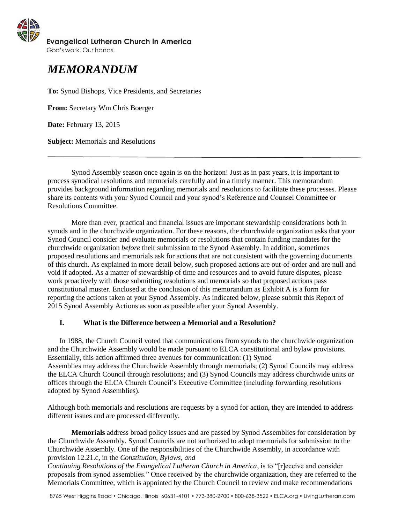

God's work. Our hands.

# *MEMORANDUM*

**To:** Synod Bishops, Vice Presidents, and Secretaries

**From:** Secretary Wm Chris Boerger

**Date:** February 13, 2015

**Subject:** Memorials and Resolutions

Synod Assembly season once again is on the horizon! Just as in past years, it is important to process synodical resolutions and memorials carefully and in a timely manner. This memorandum provides background information regarding memorials and resolutions to facilitate these processes. Please share its contents with your Synod Council and your synod's Reference and Counsel Committee or Resolutions Committee.

More than ever, practical and financial issues are important stewardship considerations both in synods and in the churchwide organization. For these reasons, the churchwide organization asks that your Synod Council consider and evaluate memorials or resolutions that contain funding mandates for the churchwide organization *before* their submission to the Synod Assembly. In addition, sometimes proposed resolutions and memorials ask for actions that are not consistent with the governing documents of this church. As explained in more detail below, such proposed actions are out-of-order and are null and void if adopted. As a matter of stewardship of time and resources and to avoid future disputes, please work proactively with those submitting resolutions and memorials so that proposed actions pass constitutional muster. Enclosed at the conclusion of this memorandum as Exhibit A is a form for reporting the actions taken at your Synod Assembly. As indicated below, please submit this Report of 2015 Synod Assembly Actions as soon as possible after your Synod Assembly.

# **I. What is the Difference between a Memorial and a Resolution?**

In 1988, the Church Council voted that communications from synods to the churchwide organization and the Churchwide Assembly would be made pursuant to ELCA constitutional and bylaw provisions. Essentially, this action affirmed three avenues for communication: (1) Synod Assemblies may address the Churchwide Assembly through memorials; (2) Synod Councils may address the ELCA Church Council through resolutions; and (3) Synod Councils may address churchwide units or offices through the ELCA Church Council's Executive Committee (including forwarding resolutions adopted by Synod Assemblies).

Although both memorials and resolutions are requests by a synod for action, they are intended to address different issues and are processed differently.

**Memorials** address broad policy issues and are passed by Synod Assemblies for consideration by the Churchwide Assembly. Synod Councils are not authorized to adopt memorials for submission to the Churchwide Assembly. One of the responsibilities of the Churchwide Assembly, in accordance with provision 12.21.c, in the *Constitution, Bylaws, and*

*Continuing Resolutions of the Evangelical Lutheran Church in America*, is to "[r]eceive and consider proposals from synod assemblies." Once received by the churchwide organization, they are referred to the Memorials Committee, which is appointed by the Church Council to review and make recommendations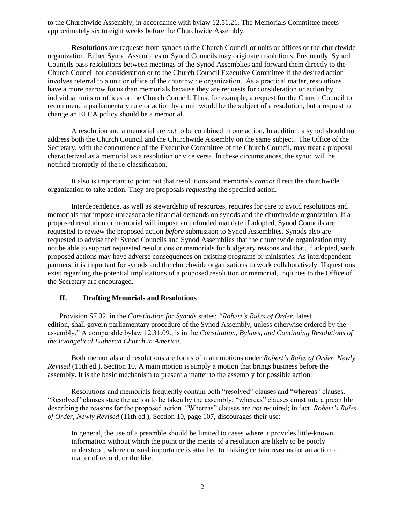to the Churchwide Assembly, in accordance with bylaw 12.51.21. The Memorials Committee meets approximately six to eight weeks before the Churchwide Assembly.

**Resolutions** are requests from synods to the Church Council or units or offices of the churchwide organization. Either Synod Assemblies or Synod Councils may originate resolutions. Frequently, Synod Councils pass resolutions between meetings of the Synod Assemblies and forward them directly to the Church Council for consideration or to the Church Council Executive Committee if the desired action involves referral to a unit or office of the churchwide organization. As a practical matter, resolutions have a more narrow focus than memorials because they are requests for consideration or action by individual units or offices or the Church Council. Thus, for example, a request for the Church Council to recommend a parliamentary rule or action by a unit would be the subject of a resolution, but a request to change an ELCA policy should be a memorial.

A resolution and a memorial are *not* to be combined in one action. In addition, a synod should not address both the Church Council and the Churchwide Assembly on the same subject. The Office of the Secretary, with the concurrence of the Executive Committee of the Church Council, may treat a proposal characterized as a memorial as a resolution or vice versa. In these circumstances, the synod will be notified promptly of the re-classification.

It also is important to point out that resolutions and memorials *cannot* direct the churchwide organization to take action. They are proposals *requesting* the specified action.

Interdependence, as well as stewardship of resources, requires for care to avoid resolutions and memorials that impose unreasonable financial demands on synods and the churchwide organization. If a proposed resolution or memorial will impose an unfunded mandate if adopted, Synod Councils are requested to review the proposed action *before* submission to Synod Assemblies. Synods also are requested to advise their Synod Councils and Synod Assemblies that the churchwide organization may not be able to support requested resolutions or memorials for budgetary reasons and that, if adopted, such proposed actions may have adverse consequences on existing programs or ministries. As interdependent partners, it is important for synods and the churchwide organizations to work collaboratively. If questions exist regarding the potential implications of a proposed resolution or memorial, inquiries to the Office of the Secretary are encouraged.

# **II. Drafting Memorials and Resolutions**

Provision S7.32. in the *Constitution for Synods* states: *"Robert's Rules of Order,* latest edition, shall govern parliamentary procedure of the Synod Assembly, unless otherwise ordered by the assembly." A comparable bylaw 12.31.09., is in the *Constitution, Bylaws, and Continuing Resolutions of the Evangelical Lutheran Church in America*.

Both memorials and resolutions are forms of main motions under *Robert's Rules of Order, Newly Revised* (11th ed.), Section 10. A main motion is simply a motion that brings business before the assembly. It is the basic mechanism to present a matter to the assembly for possible action.

Resolutions and memorials frequently contain both "resolved" clauses and "whereas" clauses. "Resolved" clauses state the action to be taken by the assembly; "whereas" clauses constitute a preamble describing the reasons for the proposed action. "Whereas" clauses are *not* required; in fact, *Robert's Rules of Order*, *Newly Revised* (11th ed.), Section 10, page 107, discourages their use:

In general, the use of a preamble should be limited to cases where it provides little-known information without which the point or the merits of a resolution are likely to be poorly understood, where unusual importance is attached to making certain reasons for an action a matter of record, or the like.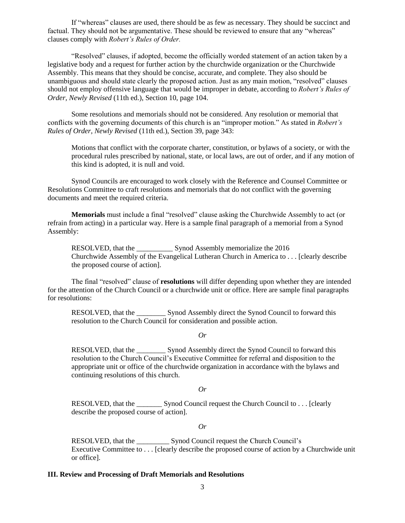If "whereas" clauses are used, there should be as few as necessary. They should be succinct and factual. They should not be argumentative. These should be reviewed to ensure that any "whereas" clauses comply with *Robert's Rules of Order.*

"Resolved" clauses, if adopted, become the officially worded statement of an action taken by a legislative body and a request for further action by the churchwide organization or the Churchwide Assembly. This means that they should be concise, accurate, and complete. They also should be unambiguous and should state clearly the proposed action. Just as any main motion, "resolved" clauses should not employ offensive language that would be improper in debate, according to *Robert's Rules of Order, Newly Revised* (11th ed.), Section 10, page 104.

Some resolutions and memorials should not be considered. Any resolution or memorial that conflicts with the governing documents of this church is an "improper motion." As stated in *Robert's Rules of Order, Newly Revised* (11th ed.), Section 39, page 343:

Motions that conflict with the corporate charter, constitution, or bylaws of a society, or with the procedural rules prescribed by national, state, or local laws, are out of order, and if any motion of this kind is adopted, it is null and void.

Synod Councils are encouraged to work closely with the Reference and Counsel Committee or Resolutions Committee to craft resolutions and memorials that do not conflict with the governing documents and meet the required criteria.

**Memorials** must include a final "resolved" clause asking the Churchwide Assembly to act (or refrain from acting) in a particular way. Here is a sample final paragraph of a memorial from a Synod Assembly:

RESOLVED, that the \_\_\_\_\_\_\_\_\_\_ Synod Assembly memorialize the 2016 Churchwide Assembly of the Evangelical Lutheran Church in America to . . . [clearly describe the proposed course of action].

The final "resolved" clause of **resolutions** will differ depending upon whether they are intended for the attention of the Church Council or a churchwide unit or office. Here are sample final paragraphs for resolutions:

RESOLVED, that the \_\_\_\_\_\_\_\_ Synod Assembly direct the Synod Council to forward this resolution to the Church Council for consideration and possible action.

*Or*

RESOLVED, that the Synod Assembly direct the Synod Council to forward this resolution to the Church Council's Executive Committee for referral and disposition to the appropriate unit or office of the churchwide organization in accordance with the bylaws and continuing resolutions of this church.

*Or*

RESOLVED, that the Synod Council request the Church Council to . . . [clearly describe the proposed course of action].

*Or*

RESOLVED, that the \_\_\_\_\_\_\_\_\_\_\_\_\_\_\_ Synod Council request the Church Council's Executive Committee to . . . [clearly describe the proposed course of action by a Churchwide unit or office].

#### **III. Review and Processing of Draft Memorials and Resolutions**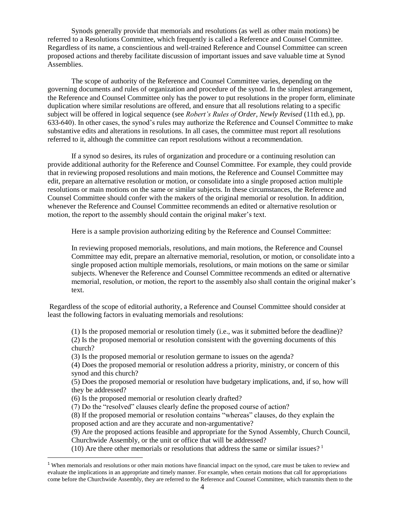Synods generally provide that memorials and resolutions (as well as other main motions) be referred to a Resolutions Committee, which frequently is called a Reference and Counsel Committee. Regardless of its name, a conscientious and well-trained Reference and Counsel Committee can screen proposed actions and thereby facilitate discussion of important issues and save valuable time at Synod Assemblies.

The scope of authority of the Reference and Counsel Committee varies, depending on the governing documents and rules of organization and procedure of the synod. In the simplest arrangement, the Reference and Counsel Committee only has the power to put resolutions in the proper form, eliminate duplication where similar resolutions are offered, and ensure that all resolutions relating to a specific subject will be offered in logical sequence (see *Robert's Rules of Order, Newly Revised* (11th ed.), pp. 633-640). In other cases, the synod's rules may authorize the Reference and Counsel Committee to make substantive edits and alterations in resolutions. In all cases, the committee must report all resolutions referred to it, although the committee can report resolutions without a recommendation.

If a synod so desires, its rules of organization and procedure or a continuing resolution can provide additional authority for the Reference and Counsel Committee. For example, they could provide that in reviewing proposed resolutions and main motions, the Reference and Counsel Committee may edit, prepare an alternative resolution or motion, or consolidate into a single proposed action multiple resolutions or main motions on the same or similar subjects. In these circumstances, the Reference and Counsel Committee should confer with the makers of the original memorial or resolution. In addition, whenever the Reference and Counsel Committee recommends an edited or alternative resolution or motion, the report to the assembly should contain the original maker's text.

Here is a sample provision authorizing editing by the Reference and Counsel Committee:

In reviewing proposed memorials, resolutions, and main motions, the Reference and Counsel Committee may edit, prepare an alternative memorial, resolution, or motion, or consolidate into a single proposed action multiple memorials, resolutions, or main motions on the same or similar subjects. Whenever the Reference and Counsel Committee recommends an edited or alternative memorial, resolution, or motion, the report to the assembly also shall contain the original maker's text.

Regardless of the scope of editorial authority, a Reference and Counsel Committee should consider at least the following factors in evaluating memorials and resolutions:

(1) Is the proposed memorial or resolution timely (i.e., was it submitted before the deadline)? (2) Is the proposed memorial or resolution consistent with the governing documents of this church?

(3) Is the proposed memorial or resolution germane to issues on the agenda?

(4) Does the proposed memorial or resolution address a priority, ministry, or concern of this synod and this church?

(5) Does the proposed memorial or resolution have budgetary implications, and, if so, how will they be addressed?

(6) Is the proposed memorial or resolution clearly drafted?

l

(7) Do the "resolved" clauses clearly define the proposed course of action?

(8) If the proposed memorial or resolution contains "whereas" clauses, do they explain the proposed action and are they accurate and non-argumentative?

(9) Are the proposed actions feasible and appropriate for the Synod Assembly, Church Council, Churchwide Assembly, or the unit or office that will be addressed?

(10) Are there other memorials or resolutions that address the same or similar issues?<sup>1</sup>

 $1$  When memorials and resolutions or other main motions have financial impact on the synod, care must be taken to review and evaluate the implications in an appropriate and timely manner. For example, when certain motions that call for appropriations come before the Churchwide Assembly, they are referred to the Reference and Counsel Committee, which transmits them to the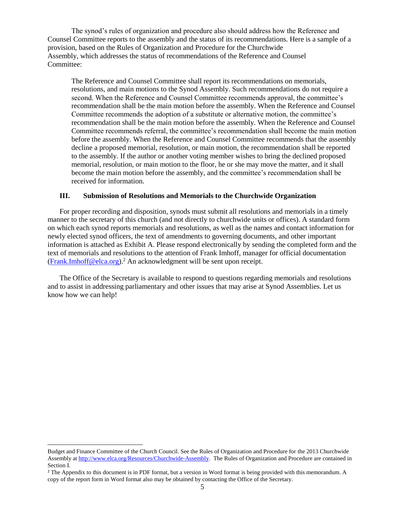The synod's rules of organization and procedure also should address how the Reference and Counsel Committee reports to the assembly and the status of its recommendations. Here is a sample of a provision, based on the Rules of Organization and Procedure for the Churchwide Assembly, which addresses the status of recommendations of the Reference and Counsel Committee:

The Reference and Counsel Committee shall report its recommendations on memorials, resolutions, and main motions to the Synod Assembly. Such recommendations do not require a second. When the Reference and Counsel Committee recommends approval, the committee's recommendation shall be the main motion before the assembly. When the Reference and Counsel Committee recommends the adoption of a substitute or alternative motion, the committee's recommendation shall be the main motion before the assembly. When the Reference and Counsel Committee recommends referral, the committee's recommendation shall become the main motion before the assembly. When the Reference and Counsel Committee recommends that the assembly decline a proposed memorial, resolution, or main motion, the recommendation shall be reported to the assembly. If the author or another voting member wishes to bring the declined proposed memorial, resolution, or main motion to the floor, he or she may move the matter, and it shall become the main motion before the assembly, and the committee's recommendation shall be received for information.

# **III. Submission of Resolutions and Memorials to the Churchwide Organization**

For proper recording and disposition, synods must submit all resolutions and memorials in a timely manner to the secretary of this church (and not directly to churchwide units or offices). A standard form on which each synod reports memorials and resolutions, as well as the names and contact information for newly elected synod officers, the text of amendments to governing documents, and other important information is attached as Exhibit A. Please respond electronically by sending the completed form and the text of memorials and resolutions to the attention of Frank Imhoff, manager for official documentation [\(Frank.Imhoff@elca.org\)](mailto:Frank.Imhoff@elca.org).<sup>2</sup> An acknowledgment will be sent upon receipt.

The Office of the Secretary is available to respond to questions regarding memorials and resolutions and to assist in addressing parliamentary and other issues that may arise at Synod Assemblies. Let us know how we can help!

l

Budget and Finance Committee of the Church Council. See the Rules of Organization and Procedure for the 2013 Churchwide Assembly at [http://www.elca.org/Resources/Churchwide-Assembly.](http://www.elca.org/Resources/Churchwide-Assembly) The Rules of Organization and Procedure are contained in Section I.

<sup>&</sup>lt;sup>2</sup> The Appendix to this document is in PDF format, but a version in Word format is being provided with this memorandum. A copy of the report form in Word format also may be obtained by contacting the Office of the Secretary.